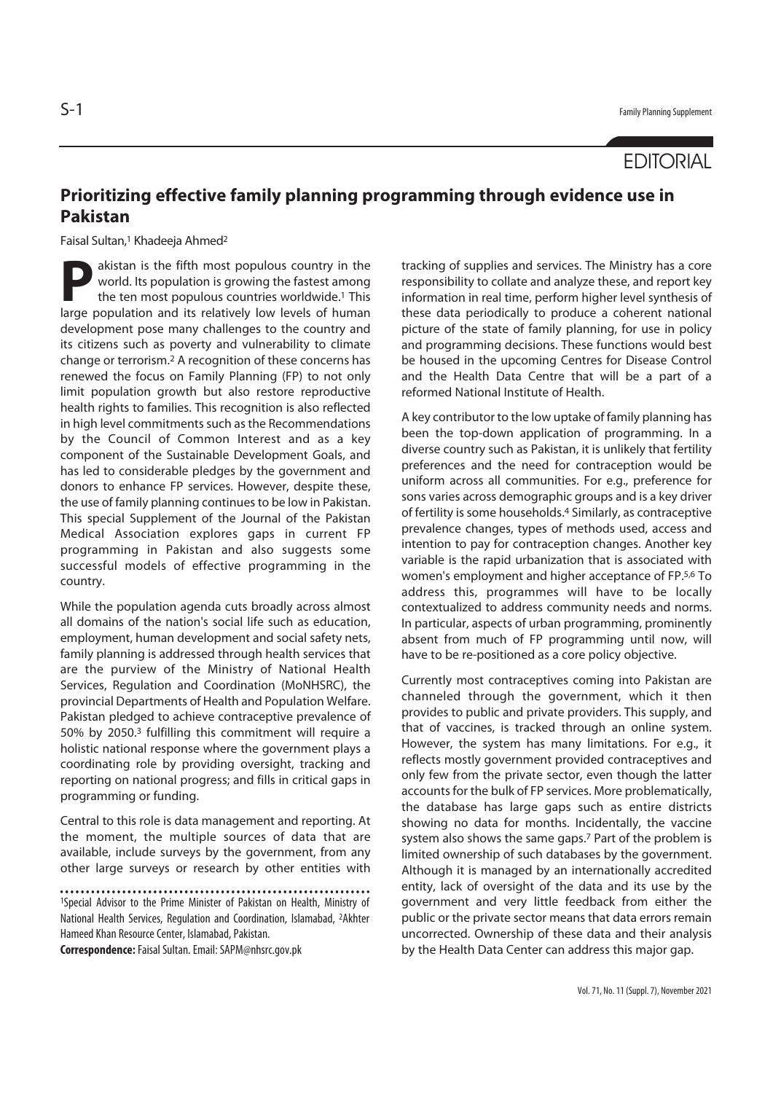## **EDITORIAL**

## **Prioritizing effective family planning programming through evidence use in Pakistan**

Faisal Sultan,<sup>1</sup> Khadeeja Ahmed<sup>2</sup>

**Pakistan is the fifth most populous country in the world. Its population is growing the fastest among the ten most populous countries worldwide.<sup>1</sup> This** world. Its population is growing the fastest among the ten most populous countries worldwide.1 This large population and its relatively low levels of human development pose many challenges to the country and its citizens such as poverty and vulnerability to climate change or terrorism.2 A recognition of these concerns has renewed the focus on Family Planning (FP) to not only limit population growth but also restore reproductive health rights to families. This recognition is also reflected in high level commitments such as the Recommendations by the Council of Common Interest and as a key component of the Sustainable Development Goals, and has led to considerable pledges by the government and donors to enhance FP services. However, despite these, the use of family planning continues to be low in Pakistan. This special Supplement of the Journal of the Pakistan Medical Association explores gaps in current FP programming in Pakistan and also suggests some successful models of effective programming in the country.

While the population agenda cuts broadly across almost all domains of the nation's social life such as education, employment, human development and social safety nets, family planning is addressed through health services that are the purview of the Ministry of National Health Services, Regulation and Coordination (MoNHSRC), the provincial Departments of Health and Population Welfare. Pakistan pledged to achieve contraceptive prevalence of 50% by 2050.3 fulfilling this commitment will require a holistic national response where the government plays a coordinating role by providing oversight, tracking and reporting on national progress; and fills in critical gaps in programming or funding.

Central to this role is data management and reporting. At the moment, the multiple sources of data that are available, include surveys by the government, from any other large surveys or research by other entities with

**Correspondence:** Faisal Sultan. Email: SAPM@nhsrc.gov.pk

tracking of supplies and services. The Ministry has a core responsibility to collate and analyze these, and report key information in real time, perform higher level synthesis of these data periodically to produce a coherent national picture of the state of family planning, for use in policy and programming decisions. These functions would best be housed in the upcoming Centres for Disease Control and the Health Data Centre that will be a part of a reformed National Institute of Health.

A key contributor to the low uptake of family planning has been the top-down application of programming. In a diverse country such as Pakistan, it is unlikely that fertility preferences and the need for contraception would be uniform across all communities. For e.g., preference for sons varies across demographic groups and is a key driver of fertility is some households.4 Similarly, as contraceptive prevalence changes, types of methods used, access and intention to pay for contraception changes. Another key variable is the rapid urbanization that is associated with women's employment and higher acceptance of FP.5,6 To address this, programmes will have to be locally contextualized to address community needs and norms. In particular, aspects of urban programming, prominently absent from much of FP programming until now, will have to be re-positioned as a core policy objective.

Currently most contraceptives coming into Pakistan are channeled through the government, which it then provides to public and private providers. This supply, and that of vaccines, is tracked through an online system. However, the system has many limitations. For e.g., it reflects mostly government provided contraceptives and only few from the private sector, even though the latter accounts for the bulk of FP services. More problematically, the database has large gaps such as entire districts showing no data for months. Incidentally, the vaccine system also shows the same gaps.7 Part of the problem is limited ownership of such databases by the government. Although it is managed by an internationally accredited entity, lack of oversight of the data and its use by the government and very little feedback from either the public or the private sector means that data errors remain uncorrected. Ownership of these data and their analysis by the Health Data Center can address this major gap.

<sup>1</sup>Special Advisor to the Prime Minister of Pakistan on Health, Ministry of National Health Services, Regulation and Coordination, Islamabad, 2Akhter Hameed Khan Resource Center, Islamabad, Pakistan.